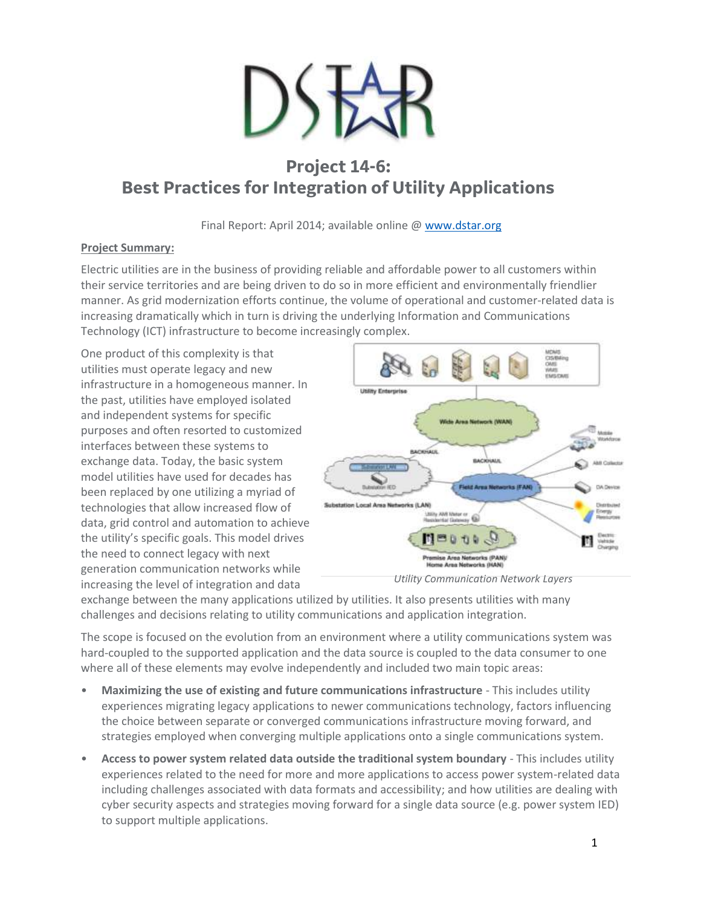

# **Project 14-6: Best Practices for Integration of Utility Applications**

Final Report: April 2014; available online @ [www.dstar.org](http://www.dstar.org/research/project/98/P14-6-best-practices-for-integration-of-utility-applications)

## **Project Summary:**

Electric utilities are in the business of providing reliable and affordable power to all customers within their service territories and are being driven to do so in more efficient and environmentally friendlier manner. As grid modernization efforts continue, the volume of operational and customer‐related data is increasing dramatically which in turn is driving the underlying Information and Communications Technology (ICT) infrastructure to become increasingly complex.

One product of this complexity is that utilities must operate legacy and new infrastructure in a homogeneous manner. In the past, utilities have employed isolated and independent systems for specific purposes and often resorted to customized interfaces between these systems to exchange data. Today, the basic system model utilities have used for decades has been replaced by one utilizing a myriad of technologies that allow increased flow of data, grid control and automation to achieve the utility's specific goals. This model drives the need to connect legacy with next generation communication networks while increasing the level of integration and data





exchange between the many applications utilized by utilities. It also presents utilities with many challenges and decisions relating to utility communications and application integration.

The scope is focused on the evolution from an environment where a utility communications system was hard-coupled to the supported application and the data source is coupled to the data consumer to one where all of these elements may evolve independently and included two main topic areas:

- **Maximizing the use of existing and future communications infrastructure** This includes utility experiences migrating legacy applications to newer communications technology, factors influencing the choice between separate or converged communications infrastructure moving forward, and strategies employed when converging multiple applications onto a single communications system.
- **Access to power system related data outside the traditional system boundary** This includes utility experiences related to the need for more and more applications to access power system-related data including challenges associated with data formats and accessibility; and how utilities are dealing with cyber security aspects and strategies moving forward for a single data source (e.g. power system IED) to support multiple applications.